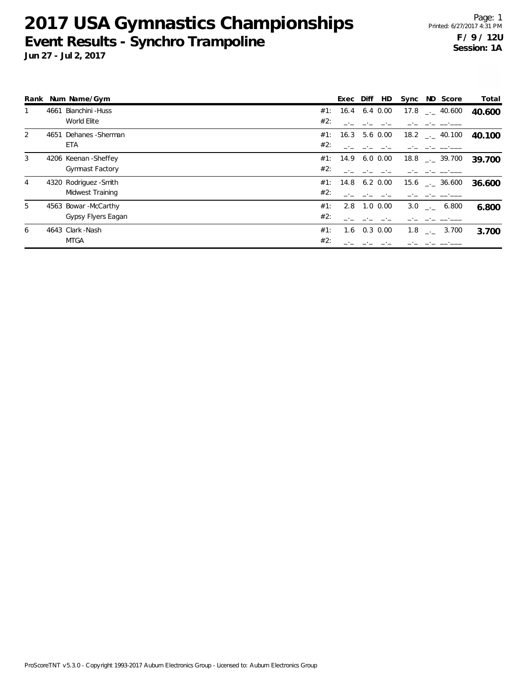|   |      | Rank Num Name/Gym      |     | Exec Diff         | HD.          |  | Sync ND Score                 | Total  |
|---|------|------------------------|-----|-------------------|--------------|--|-------------------------------|--------|
|   | 4661 | Bianchini - Huss       |     | #1: 16.4          | 6.4 0.00     |  | $17.8$ $_{\sim}$ 40.600       | 40.600 |
|   |      | World Elite            | #2: |                   |              |  |                               |        |
| 2 |      | 4651 Dehanes - Sherman |     | #1: 16.3 5.6 0.00 |              |  | $18.2$ $_{\leftarrow}$ 40.100 | 40.100 |
|   |      | ETA                    | #2: |                   |              |  |                               |        |
| 3 |      | 4206 Keenan - Sheffey  |     | #1: 14.9 6.0 0.00 |              |  | $18.8$ $_{\dots}$ 39.700      | 39.700 |
|   |      | <b>Gymnast Factory</b> | #2: |                   |              |  |                               |        |
| 4 |      | 4320 Rodriguez - Smith |     | #1: 14.8          | $6.2 \ 0.00$ |  | 15.6 . 36.600                 | 36.600 |
|   |      | Midwest Training       | #2: |                   |              |  |                               |        |
| 5 |      | 4563 Bowar-McCarthy    | #1: | 2.8               | $1.0 \ 0.00$ |  | $3.0$ . 6.800                 | 6.800  |
|   |      | Gypsy Flyers Eagan     | #2: |                   |              |  |                               |        |
| 6 |      | 4643 Clark - Nash      | #1: | 1.6               | $0.3 \ 0.00$ |  | $1.8$ $_{\sim}$ $-3.700$      | 3.700  |
|   |      | <b>MTGA</b>            | #2: |                   |              |  |                               |        |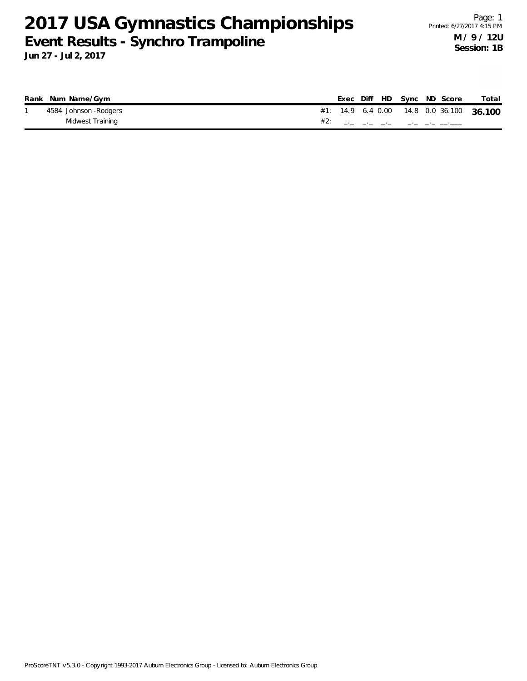| Rank Num Name/Gym     |  |  | Exec Diff HD Sync ND Score               | Total |
|-----------------------|--|--|------------------------------------------|-------|
| 4584 Johnson -Rodgers |  |  | #1: 14.9 6.4 0.00 14.8 0.0 36.100 36.100 |       |
| Midwest Training      |  |  |                                          |       |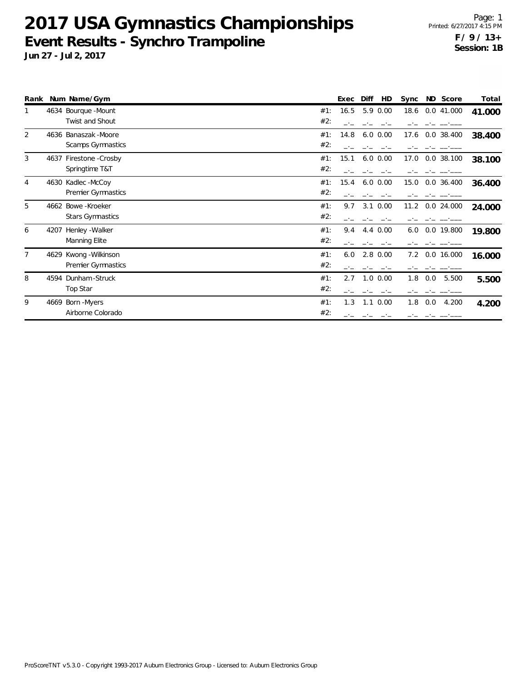| Rank |      | Num Name/Gym              |     | Exec | Diff         | HD | Sync |     | ND Score     | Total  |
|------|------|---------------------------|-----|------|--------------|----|------|-----|--------------|--------|
|      |      | 4634 Bourque -Mount       | #1: | 16.5 | 5.9 0.00     |    | 18.6 |     | 0.0 41.000   | 41.000 |
|      |      | Twist and Shout           | #2: |      |              |    |      |     |              |        |
| 2    |      | 4636 Banaszak - Moore     | #1: | 14.8 | $6.0\;0.00$  |    | 17.6 |     | $0.0$ 38.400 | 38.400 |
|      |      | Scamps Gymnastics         | #2: |      |              |    |      |     |              |        |
| 3    |      | 4637 Firestone - Crosby   | #1: | 15.1 | $6.0\;0.00$  |    | 17.0 |     | $0.0$ 38.100 | 38.100 |
|      |      | Springtime T&T            | #2: |      |              |    |      |     |              |        |
| 4    |      | 4630 Kadlec - McCoy       | #1: | 15.4 | $6.0\;0.00$  |    | 15.0 |     | $0.0$ 36.400 | 36.400 |
|      |      | <b>Premier Gymnastics</b> | #2: |      |              |    |      |     |              |        |
| 5    |      | 4662 Bowe-Kroeker         | #1: | 9.7  | $3.1 \ 0.00$ |    | 11.2 |     | 0.0 24.000   | 24.000 |
|      |      | <b>Stars Gymnastics</b>   | #2: |      |              |    |      |     |              |        |
| 6    | 4207 | Henley - Walker           | #1: | 9.4  | 4.4 0.00     |    | 6.0  |     | 0.0 19.800   | 19.800 |
|      |      | Manning Elite             | #2: |      |              |    |      |     |              |        |
| 7    |      | 4629 Kwong - Wilkinson    | #1: | 6.0  | $2.8 \t0.00$ |    | 7.2  |     | 0.0 16.000   | 16.000 |
|      |      | Premier Gymnastics        | #2: |      |              |    |      |     |              |        |
| 8    | 4594 | Dunham-Struck             | #1: | 2.7  | $1.0 \ 0.00$ |    | 1.8  | 0.0 | 5.500        | 5.500  |
|      |      | Top Star                  | #2: |      |              |    |      |     |              |        |
| 9    |      | 4669 Born - Myers         | #1: | 1.3  | $1.1 \ 0.00$ |    | 1.8  | 0.0 | 4.200        | 4.200  |
|      |      | Airborne Colorado         | #2: |      |              |    |      |     |              |        |